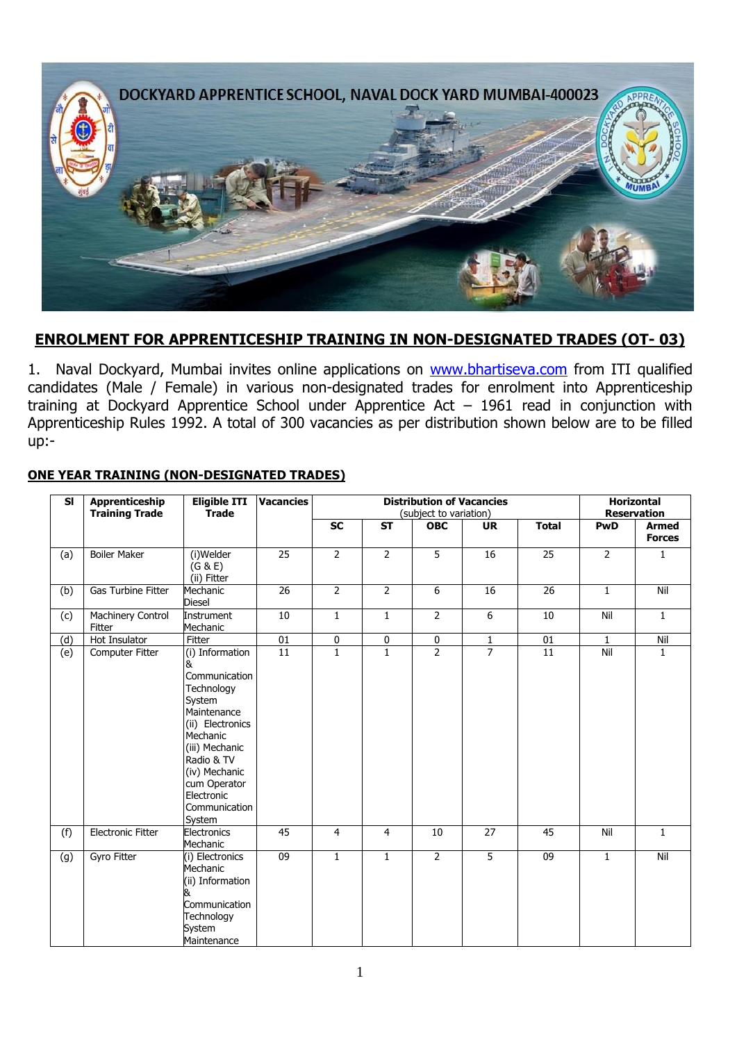

### **ENROLMENT FOR APPRENTICESHIP TRAINING IN NON-DESIGNATED TRADES (OT- 03)**

1. Naval Dockyard, Mumbai invites online applications on [www.bhartiseva.com](http://www.jobsuchi.com/) from ITI qualified candidates (Male / Female) in various non-designated trades for enrolment into Apprenticeship training at Dockyard Apprentice School under Apprentice Act – 1961 read in conjunction with Apprenticeship Rules 1992. A total of 300 vacancies as per distribution shown below are to be filled up:-

| <b>SI</b> | Apprenticeship<br><b>Training Trade</b> | <b>Eligible ITI</b><br><b>Trade</b>                                                                                                                                                                                    | <b>Vacancies</b> |                          | <b>Distribution of Vacancies</b><br>(subject to variation) | <b>Horizontal</b><br><b>Reservation</b> |                |                 |                |                               |
|-----------|-----------------------------------------|------------------------------------------------------------------------------------------------------------------------------------------------------------------------------------------------------------------------|------------------|--------------------------|------------------------------------------------------------|-----------------------------------------|----------------|-----------------|----------------|-------------------------------|
|           |                                         |                                                                                                                                                                                                                        |                  | $\overline{\mathsf{SC}}$ | <b>ST</b>                                                  | <b>OBC</b>                              | <b>UR</b>      | <b>Total</b>    | <b>PwD</b>     | <b>Armed</b><br><b>Forces</b> |
| (a)       | <b>Boiler Maker</b>                     | (i)Welder<br>(G & E)<br>(ii) Fitter                                                                                                                                                                                    | 25               | $\overline{2}$           | $\overline{2}$                                             | $\overline{5}$                          | 16             | 25              | $\overline{2}$ | 1                             |
| (b)       | <b>Gas Turbine Fitter</b>               | Mechanic<br><b>Diesel</b>                                                                                                                                                                                              | 26               | $\overline{2}$           | $\overline{2}$                                             | 6                                       | 16             | 26              | $\mathbf{1}$   | Nil                           |
| (c)       | Machinery Control<br>Fitter             | Instrument<br>Mechanic                                                                                                                                                                                                 | 10               | $\mathbf{1}$             | $\mathbf{1}$                                               | $\overline{2}$                          | $\overline{6}$ | 10              | Nil            | $\mathbf{1}$                  |
| (d)       | Hot Insulator                           | Fitter                                                                                                                                                                                                                 | 01               | $\pmb{0}$                | 0                                                          | $\frac{0}{2}$                           | $\mathbf{1}$   | $01\,$          | 1              | Nil                           |
| (e)       | Computer Fitter                         | (i) Information<br>&<br>Communication<br>Technology<br>System<br>Maintenance<br>(ii) Electronics<br>Mechanic<br>(iii) Mechanic<br>Radio & TV<br>(iv) Mechanic<br>cum Operator<br>Electronic<br>Communication<br>System | $\overline{11}$  | $\overline{1}$           | $\overline{1}$                                             |                                         | $\overline{7}$ | $\overline{11}$ | Nil            | $\mathbf{1}$                  |
| (f)       | <b>Electronic Fitter</b>                | Electronics<br>Mechanic                                                                                                                                                                                                | 45               | $\overline{4}$           | $\overline{4}$                                             | 10                                      | 27             | 45              | Nil            | $\mathbf{1}$                  |
| (g)       | Gyro Fitter                             | (i) Electronics<br>Mechanic<br>(ii) Information<br>ά.<br>Communication<br>Technology<br>System<br>Maintenance                                                                                                          | 09               | $\mathbf{1}$             | $\mathbf{1}$                                               | $\overline{2}$                          | 5              | 09              | $\mathbf{1}$   | Nil                           |

#### **ONE YEAR TRAINING (NON-DESIGNATED TRADES)**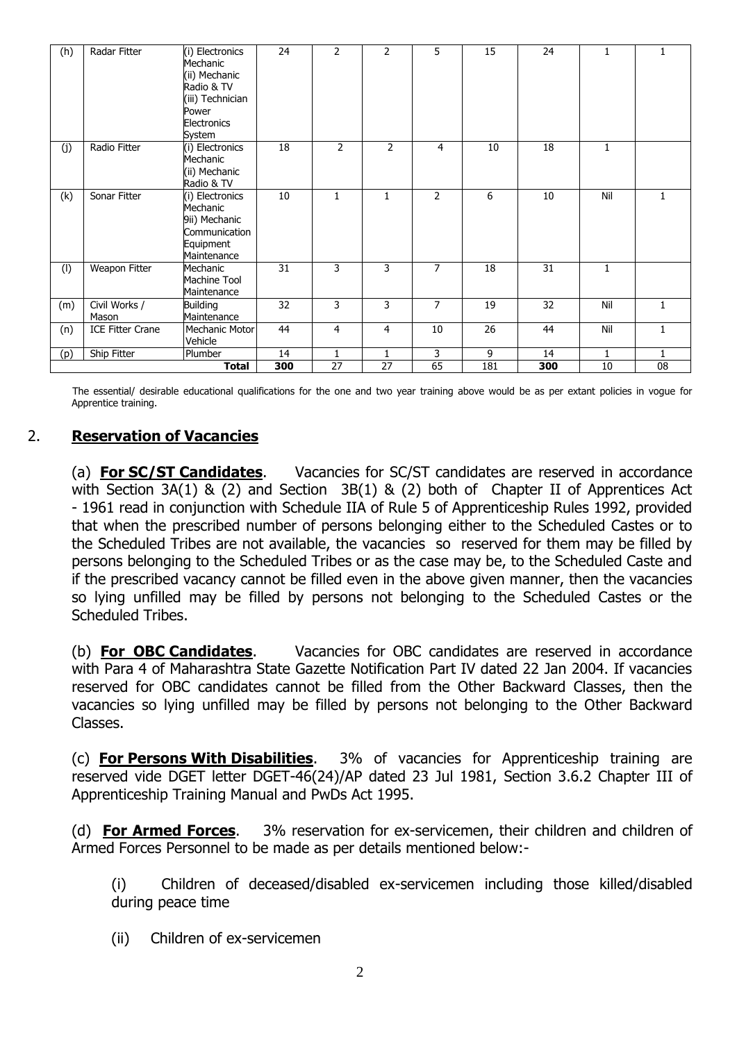| (h) | Radar Fitter            | (i) Electronics<br>Mechanic<br>(ii) Mechanic<br>Radio & TV<br>(iii) Technician<br>Power<br>Electronics<br>System | 24  | 2              | $\overline{2}$ | 5              | 15  | 24  | 1            |              |
|-----|-------------------------|------------------------------------------------------------------------------------------------------------------|-----|----------------|----------------|----------------|-----|-----|--------------|--------------|
| (j) | Radio Fitter            | (i) Electronics<br>Mechanic<br>(ii) Mechanic<br>Radio & TV                                                       | 18  | $\overline{2}$ | $\overline{2}$ | 4              | 10  | 18  | $\mathbf{1}$ |              |
| (k) | Sonar Fitter            | (i) Electronics<br>Mechanic<br>9ii) Mechanic<br>Communication<br>Equipment<br>Maintenance                        | 10  | $\mathbf{1}$   | 1              | $\mathcal{P}$  | 6   | 10  | Nil          | 1            |
| (1) | Weapon Fitter           | Mechanic<br>Machine Tool<br>Maintenance                                                                          | 31  | 3              | 3              | 7              | 18  | 31  | $\mathbf{1}$ |              |
| (m) | Civil Works /<br>Mason  | <b>Building</b><br>Maintenance                                                                                   | 32  | 3              | 3              | $\overline{7}$ | 19  | 32  | Nil          | 1            |
| (n) | <b>ICE Fitter Crane</b> | Mechanic Motor<br>Vehicle                                                                                        | 44  | 4              | 4              | 10             | 26  | 44  | Nil          | $\mathbf{1}$ |
| (p) | Ship Fitter             | Plumber                                                                                                          | 14  | 1              | 1              | 3              | 9   | 14  | $\mathbf{1}$ | 1            |
|     |                         | Total                                                                                                            | 300 | 27             | 27             | 65             | 181 | 300 | 10           | 08           |

The essential/ desirable educational qualifications for the one and two year training above would be as per extant policies in vogue for Apprentice training.

### 2. **Reservation of Vacancies**

(a) **For SC/ST Candidates**. Vacancies for SC/ST candidates are reserved in accordance with Section 3A(1) & (2) and Section 3B(1) & (2) both of Chapter II of Apprentices Act - 1961 read in conjunction with Schedule IIA of Rule 5 of Apprenticeship Rules 1992, provided that when the prescribed number of persons belonging either to the Scheduled Castes or to the Scheduled Tribes are not available, the vacancies so reserved for them may be filled by persons belonging to the Scheduled Tribes or as the case may be, to the Scheduled Caste and if the prescribed vacancy cannot be filled even in the above given manner, then the vacancies so lying unfilled may be filled by persons not belonging to the Scheduled Castes or the Scheduled Tribes.

(b) **For OBC Candidates**. Vacancies for OBC candidates are reserved in accordance with Para 4 of Maharashtra State Gazette Notification Part IV dated 22 Jan 2004. If vacancies reserved for OBC candidates cannot be filled from the Other Backward Classes, then the vacancies so lying unfilled may be filled by persons not belonging to the Other Backward Classes.

(c) **For Persons With Disabilities**. 3% of vacancies for Apprenticeship training are reserved vide DGET letter DGET-46(24)/AP dated 23 Jul 1981, Section 3.6.2 Chapter III of Apprenticeship Training Manual and PwDs Act 1995.

(d) **For Armed Forces**. 3% reservation for ex-servicemen, their children and children of Armed Forces Personnel to be made as per details mentioned below:-

(i) Children of deceased/disabled ex-servicemen including those killed/disabled during peace time

(ii) Children of ex-servicemen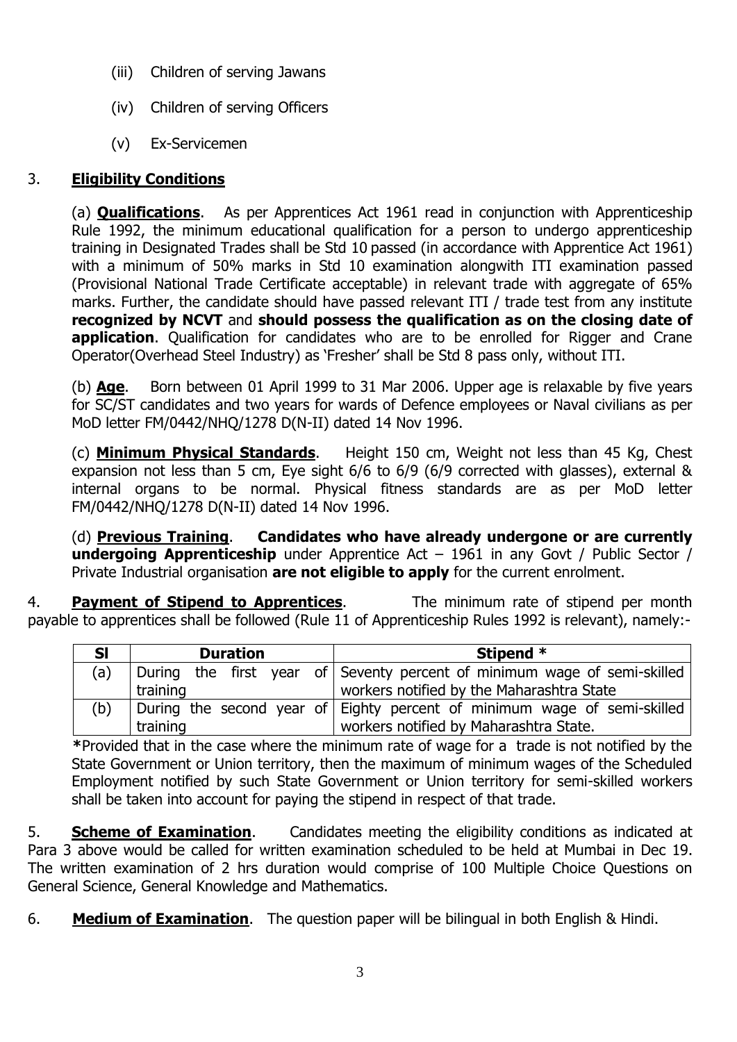- (iii) Children of serving Jawans
- (iv) Children of serving Officers
- (v) Ex-Servicemen

# 3. **Eligibility Conditions**

(a) **Qualifications**.As per Apprentices Act 1961 read in conjunction with Apprenticeship Rule 1992, the minimum educational qualification for a person to undergo apprenticeship training in Designated Trades shall be Std 10 passed (in accordance with Apprentice Act 1961) with a minimum of 50% marks in Std 10 examination alongwith ITI examination passed (Provisional National Trade Certificate acceptable) in relevant trade with aggregate of 65% marks. Further, the candidate should have passed relevant ITI / trade test from any institute **recognized by NCVT** and **should possess the qualification as on the closing date of application**. Qualification for candidates who are to be enrolled for Rigger and Crane Operator(Overhead Steel Industry) as 'Fresher' shall be Std 8 pass only, without ITI.

(b) **Age**. Born between 01 April 1999 to 31 Mar 2006. Upper age is relaxable by five years for SC/ST candidates and two years for wards of Defence employees or Naval civilians as per MoD letter FM/0442/NHQ/1278 D(N-II) dated 14 Nov 1996.

(c) **Minimum Physical Standards**.Height 150 cm, Weight not less than 45 Kg, Chest expansion not less than 5 cm, Eye sight 6/6 to 6/9 (6/9 corrected with glasses), external & internal organs to be normal. Physical fitness standards are as per MoD letter FM/0442/NHQ/1278 D(N-II) dated 14 Nov 1996.

(d) **Previous Training**. **Candidates who have already undergone or are currently undergoing Apprenticeship** under Apprentice Act – 1961 in any Govt / Public Sector / Private Industrial organisation **are not eligible to apply** for the current enrolment.

4. **Payment of Stipend to Apprentices**.The minimum rate of stipend per month payable to apprentices shall be followed (Rule 11 of Apprenticeship Rules 1992 is relevant), namely:-

| <b>SI</b> | <b>Duration</b> | Stipend *                                                                |  |  |  |  |
|-----------|-----------------|--------------------------------------------------------------------------|--|--|--|--|
| (a)       |                 | During the first year of Seventy percent of minimum wage of semi-skilled |  |  |  |  |
|           | training        | workers notified by the Maharashtra State                                |  |  |  |  |
| (b)       |                 | During the second year of Eighty percent of minimum wage of semi-skilled |  |  |  |  |
|           | training        | workers notified by Maharashtra State.                                   |  |  |  |  |

**\***Provided that in the case where the minimum rate of wage for a trade is not notified by the State Government or Union territory, then the maximum of minimum wages of the Scheduled Employment notified by such State Government or Union territory for semi-skilled workers shall be taken into account for paying the stipend in respect of that trade.

5. **Scheme of Examination**. Candidates meeting the eligibility conditions as indicated at Para 3 above would be called for written examination scheduled to be held at Mumbai in Dec 19. The written examination of 2 hrs duration would comprise of 100 Multiple Choice Questions on General Science, General Knowledge and Mathematics.

6. **Medium of Examination**. The question paper will be bilingual in both English & Hindi.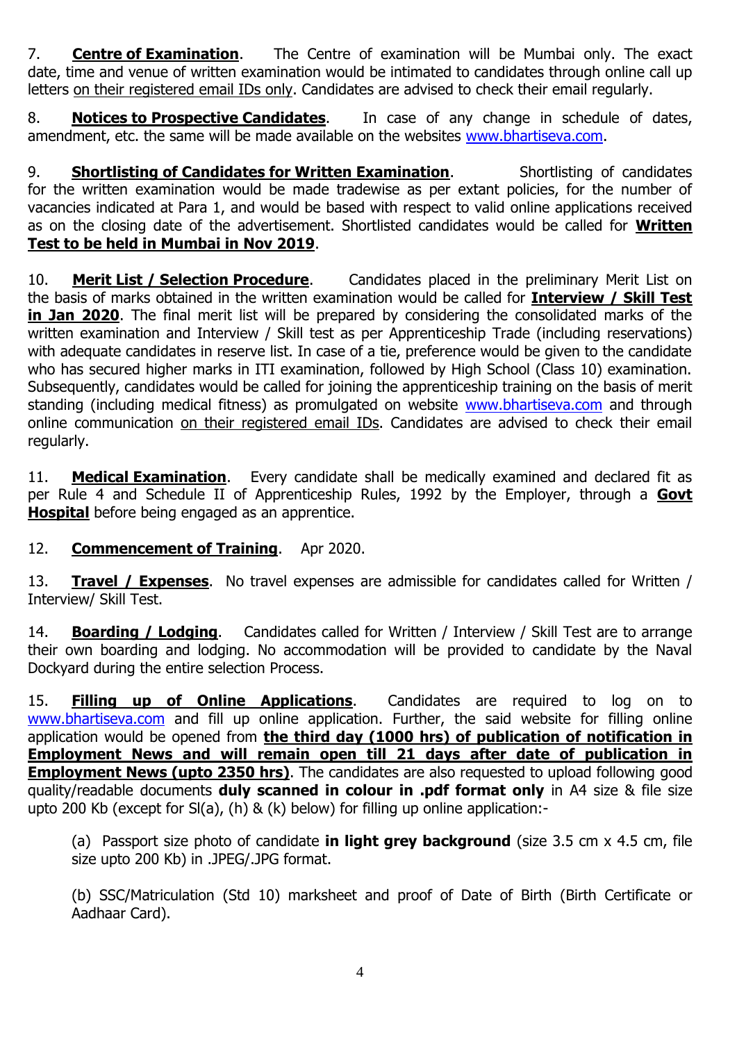7. **Centre of Examination**. The Centre of examination will be Mumbai only. The exact date, time and venue of written examination would be intimated to candidates through online call up letters on their registered email IDs only. Candidates are advised to check their email regularly.

8. **Notices to Prospective Candidates**. In case of any change in schedule of dates, amendment, etc. the same will be made available on the websites [www.bhartiseva.com.](http://www.jobsuchi.com/)

9. **Shortlisting of Candidates for Written Examination**. Shortlisting of candidates for the written examination would be made tradewise as per extant policies, for the number of vacancies indicated at Para 1, and would be based with respect to valid online applications received as on the closing date of the advertisement. Shortlisted candidates would be called for **Written Test to be held in Mumbai in Nov 2019**.

10. **Merit List / Selection Procedure**. Candidates placed in the preliminary Merit List on the basis of marks obtained in the written examination would be called for **Interview / Skill Test in Jan 2020**. The final merit list will be prepared by considering the consolidated marks of the written examination and Interview / Skill test as per Apprenticeship Trade (including reservations) with adequate candidates in reserve list. In case of a tie, preference would be given to the candidate who has secured higher marks in ITI examination, followed by High School (Class 10) examination. Subsequently, candidates would be called for joining the apprenticeship training on the basis of merit standing (including medical fitness) as promulgated on website [www.bhartiseva.com](http://www.jobsuchi.com/) and through online communication on their registered email IDs. Candidates are advised to check their email regularly.

11. **Medical Examination**. Every candidate shall be medically examined and declared fit as per Rule 4 and Schedule II of Apprenticeship Rules, 1992 by the Employer, through a **Govt Hospital** before being engaged as an apprentice.

## 12. **Commencement of Training**. Apr 2020.

13. **Travel / Expenses**.No travel expenses are admissible for candidates called for Written / Interview/ Skill Test.

14. **Boarding / Lodging**. Candidates called for Written / Interview / Skill Test are to arrange their own boarding and lodging. No accommodation will be provided to candidate by the Naval Dockyard during the entire selection Process.

15. **Filling up of Online Applications**.Candidates are required to log on to [www.bhartiseva.com](http://www.jobsuchi.com/) and fill up online application. Further, the said website for filling online application would be opened from **the third day (1000 hrs) of publication of notification in Employment News and will remain open till 21 days after date of publication in Employment News (upto 2350 hrs)**. The candidates are also requested to upload following good quality/readable documents **duly scanned in colour in .pdf format only** in A4 size & file size upto 200 Kb (except for Sl(a), (h) & (k) below) for filling up online application:-

(a) Passport size photo of candidate **in light grey background** (size 3.5 cm x 4.5 cm, file size upto 200 Kb) in .JPEG/.JPG format.

(b) SSC/Matriculation (Std 10) marksheet and proof of Date of Birth (Birth Certificate or Aadhaar Card).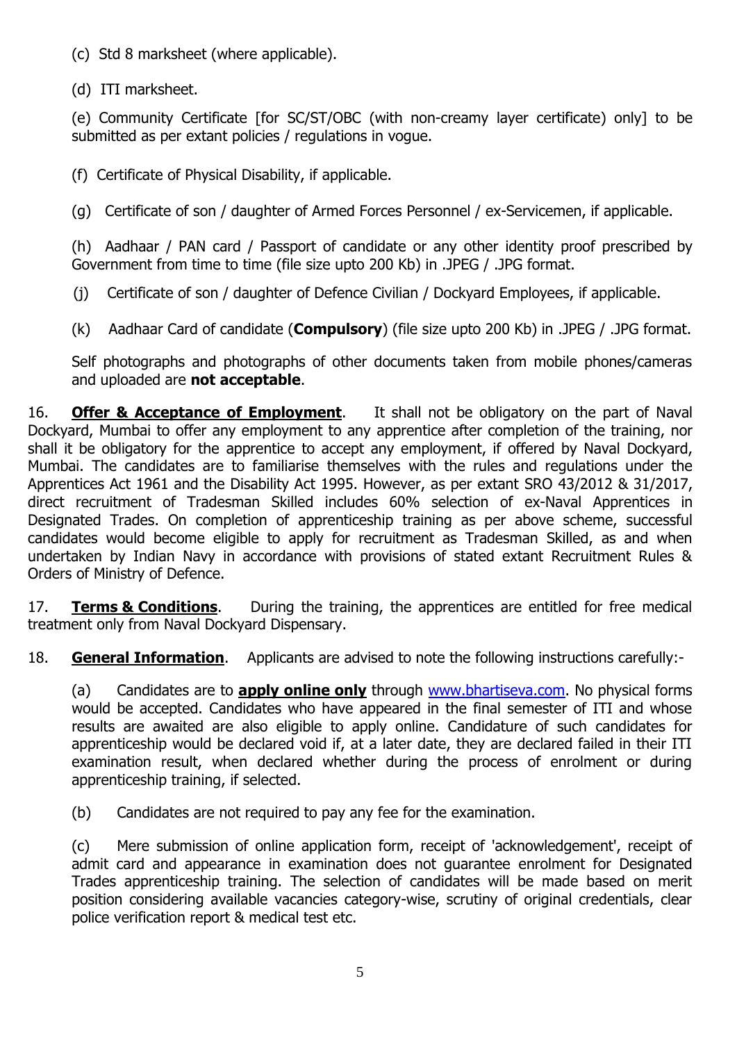(c) Std 8 marksheet (where applicable).

(d) ITI marksheet.

(e) Community Certificate [for SC/ST/OBC (with non-creamy layer certificate) only] to be submitted as per extant policies / regulations in vogue.

(f) Certificate of Physical Disability, if applicable.

(g) Certificate of son / daughter of Armed Forces Personnel / ex-Servicemen, if applicable.

(h) Aadhaar / PAN card / Passport of candidate or any other identity proof prescribed by Government from time to time (file size upto 200 Kb) in .JPEG / .JPG format.

(j) Certificate of son / daughter of Defence Civilian / Dockyard Employees, if applicable.

(k) Aadhaar Card of candidate (**Compulsory**) (file size upto 200 Kb) in .JPEG / .JPG format.

Self photographs and photographs of other documents taken from mobile phones/cameras and uploaded are **not acceptable**.

16. **Offer & Acceptance of Employment**. It shall not be obligatory on the part of Naval Dockyard, Mumbai to offer any employment to any apprentice after completion of the training, nor shall it be obligatory for the apprentice to accept any employment, if offered by Naval Dockyard, Mumbai. The candidates are to familiarise themselves with the rules and regulations under the Apprentices Act 1961 and the Disability Act 1995. However, as per extant SRO 43/2012 & 31/2017, direct recruitment of Tradesman Skilled includes 60% selection of ex-Naval Apprentices in Designated Trades. On completion of apprenticeship training as per above scheme, successful candidates would become eligible to apply for recruitment as Tradesman Skilled, as and when undertaken by Indian Navy in accordance with provisions of stated extant Recruitment Rules & Orders of Ministry of Defence.

17. **Terms & Conditions**. During the training, the apprentices are entitled for free medical treatment only from Naval Dockyard Dispensary.

18. **General Information**. Applicants are advised to note the following instructions carefully:-

(a) Candidates are to **apply online only** through [www.bhartiseva.com.](http://www.jobsuchi.com/) No physical forms would be accepted. Candidates who have appeared in the final semester of ITI and whose results are awaited are also eligible to apply online. Candidature of such candidates for apprenticeship would be declared void if, at a later date, they are declared failed in their ITI examination result, when declared whether during the process of enrolment or during apprenticeship training, if selected.

(b) Candidates are not required to pay any fee for the examination.

(c) Mere submission of online application form, receipt of 'acknowledgement', receipt of admit card and appearance in examination does not guarantee enrolment for Designated Trades apprenticeship training. The selection of candidates will be made based on merit position considering available vacancies category-wise, scrutiny of original credentials, clear police verification report & medical test etc.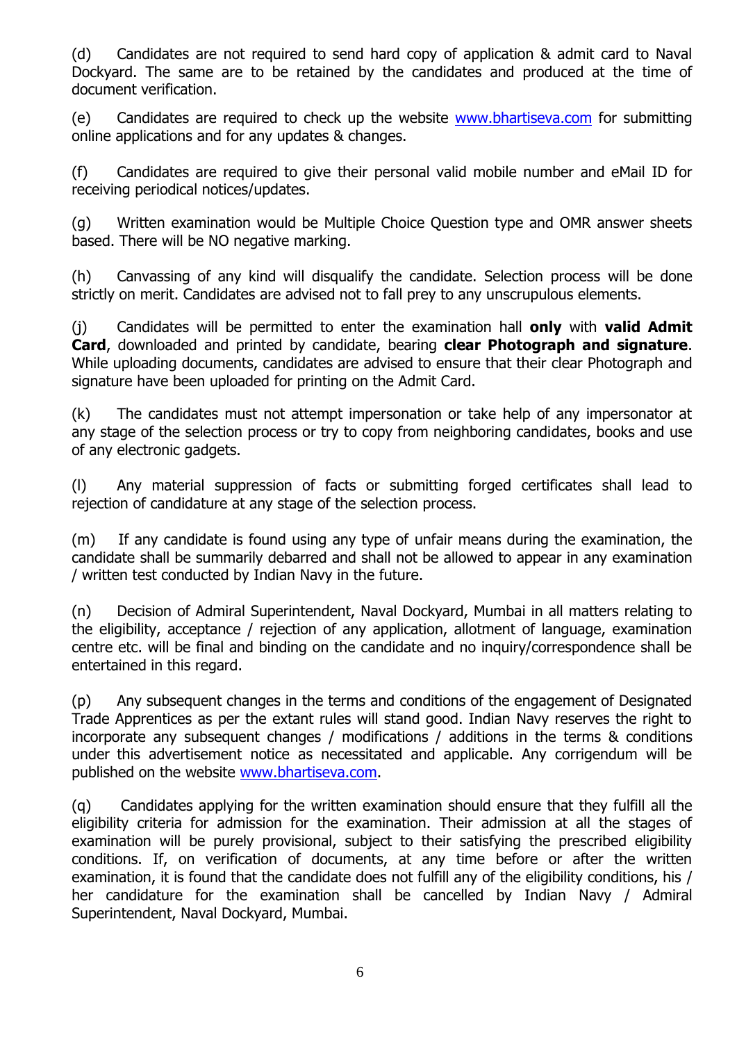(d) Candidates are not required to send hard copy of application & admit card to Naval Dockyard. The same are to be retained by the candidates and produced at the time of document verification.

(e) Candidates are required to check up the website [www.bhartiseva.com](http://www.jobsuchi.com/) for submitting online applications and for any updates & changes.

(f) Candidates are required to give their personal valid mobile number and eMail ID for receiving periodical notices/updates.

(g) Written examination would be Multiple Choice Question type and OMR answer sheets based. There will be NO negative marking.

(h) Canvassing of any kind will disqualify the candidate. Selection process will be done strictly on merit. Candidates are advised not to fall prey to any unscrupulous elements.

(j) Candidates will be permitted to enter the examination hall **only** with **valid Admit Card**, downloaded and printed by candidate, bearing **clear Photograph and signature**. While uploading documents, candidates are advised to ensure that their clear Photograph and signature have been uploaded for printing on the Admit Card.

(k) The candidates must not attempt impersonation or take help of any impersonator at any stage of the selection process or try to copy from neighboring candidates, books and use of any electronic gadgets.

(l) Any material suppression of facts or submitting forged certificates shall lead to rejection of candidature at any stage of the selection process.

(m) If any candidate is found using any type of unfair means during the examination, the candidate shall be summarily debarred and shall not be allowed to appear in any examination / written test conducted by Indian Navy in the future.

(n) Decision of Admiral Superintendent, Naval Dockyard, Mumbai in all matters relating to the eligibility, acceptance / rejection of any application, allotment of language, examination centre etc. will be final and binding on the candidate and no inquiry/correspondence shall be entertained in this regard.

(p) Any subsequent changes in the terms and conditions of the engagement of Designated Trade Apprentices as per the extant rules will stand good. Indian Navy reserves the right to incorporate any subsequent changes / modifications / additions in the terms & conditions under this advertisement notice as necessitated and applicable. Any corrigendum will be published on the website [www.bhartiseva.com.](http://www.jobsuchi.com/)

(q) Candidates applying for the written examination should ensure that they fulfill all the eligibility criteria for admission for the examination. Their admission at all the stages of examination will be purely provisional, subject to their satisfying the prescribed eligibility conditions. If, on verification of documents, at any time before or after the written examination, it is found that the candidate does not fulfill any of the eligibility conditions, his / her candidature for the examination shall be cancelled by Indian Navy / Admiral Superintendent, Naval Dockyard, Mumbai.